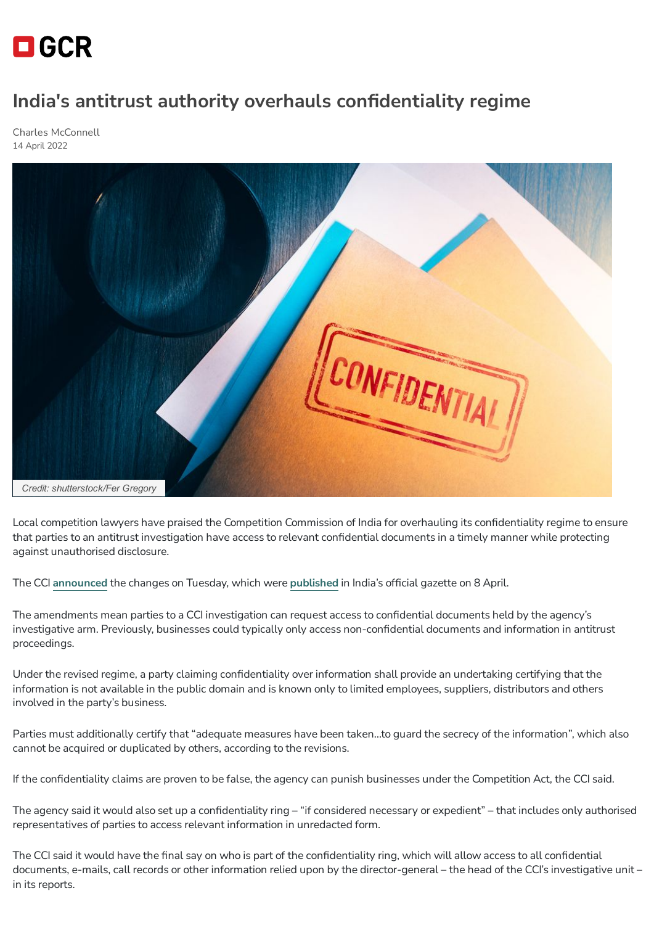## $\blacksquare$  GCR

## **India's antitrust authority overhauls confidentiality regime**

Charles [McConnell](https://globalcompetitionreview.com/authors/charles-mcconnell) 14 April 2022



Local competition lawyers have praised the Competition Commission of India for overhauling its confidentiality regime to ensure that parties to an antitrust investigation have access to relevant confidential documents in a timely manner while protecting against unauthorised disclosure.

The CCI **[announced](https://twitter.com/CCI_India/status/1513782550782935045?ref_src=twsrc%5Etfw%7Ctwcamp%5Etweetembed%7Ctwterm%5E1513782550782935045%7Ctwgr%5E%7Ctwcon%5Es1_&ref_url=https%3A%2F%2Fwww.deccanherald.com%2Fnational%2Fcci-notifies-revised-confidentiality-regime-under-competition-law-1100220.html)** the changes on Tuesday, which were **[published](https://egazette.nic.in/WriteReadData/2022/234981.pdf)** in India's official gazette on 8 April.

The amendments mean parties to a CCI investigation can request access to confidential documents held by the agency's investigative arm. Previously, businesses could typically only access non-confidential documents and information in antitrust proceedings.

Under the revised regime, a party claiming confidentiality over information shall provide an undertaking certifying that the information is not available in the public domain and is known only to limited employees, suppliers, distributors and others involved in the party's business.

Parties must additionally certify that "adequate measures have been taken…to guard the secrecy of the information", which also cannot be acquired or duplicated by others, according to the revisions.

If the confidentiality claims are proven to be false, the agency can punish businesses under the Competition Act, the CCI said.

The agency said it would also set up a confidentiality ring – "if considered necessary or expedient" – that includes only authorised representatives of parties to access relevant information in unredacted form.

The CCI said it would have the final say on who is part of the confidentiality ring, which will allow access to all confidential documents, e-mails, call records or other information relied upon by the director-general – the head of the CCI's investigative unit – in its reports.